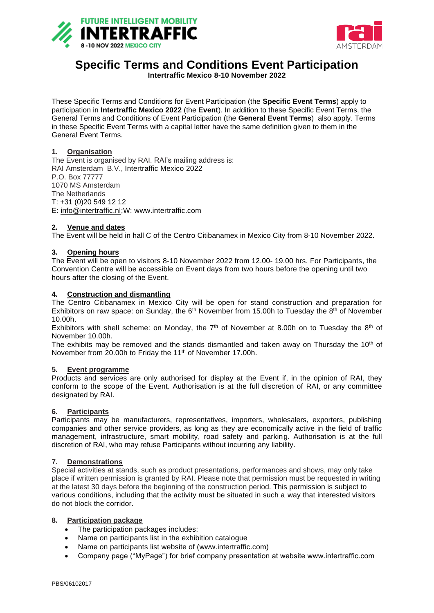



# **Specific Terms and Conditions Event Participation**

**Intertraffic Mexico 8-10 November 2022**

These Specific Terms and Conditions for Event Participation (the **Specific Event Terms**) apply to participation in **Intertraffic Mexico 2022** (the **Event**). In addition to these Specific Event Terms, the General Terms and Conditions of Event Participation (the **General Event Terms**) also apply. Terms in these Specific Event Terms with a capital letter have the same definition given to them in the General Event Terms.

## **1. Organisation**

The Event is organised by RAI. RAI's mailing address is: RAI Amsterdam B.V., Intertraffic Mexico 2022 P.O. Box 77777 1070 MS Amsterdam The Netherlands T: +31 (0)20 549 12 12 E: [info@intertraffic.nl;](mailto:info@intertraffic.nl)W: www.intertraffic.com

## **2. Venue and dates**

The Event will be held in hall C of the Centro Citibanamex in Mexico City from 8-10 November 2022.

## **3. Opening hours**

The Event will be open to visitors 8-10 November 2022 from 12.00- 19.00 hrs. For Participants, the Convention Centre will be accessible on Event days from two hours before the opening until two hours after the closing of the Event.

#### **4. Construction and dismantling**

The Centro Citibanamex in Mexico City will be open for stand construction and preparation for Exhibitors on raw space; on Sunday, the  $6<sup>th</sup>$  November from 15.00h to Tuesday the  $8<sup>th</sup>$  of November 10.00h.

Exhibitors with shell scheme: on Monday, the  $7<sup>th</sup>$  of November at 8.00h on to Tuesday the  $8<sup>th</sup>$  of November 10.00h.

The exhibits may be removed and the stands dismantled and taken away on Thursday the  $10<sup>th</sup>$  of November from 20.00h to Friday the 11th of November 17.00h.

#### **5. Event programme**

Products and services are only authorised for display at the Event if, in the opinion of RAI, they conform to the scope of the Event. Authorisation is at the full discretion of RAI, or any committee designated by RAI.

## **6. Participants**

Participants may be manufacturers, representatives, importers, wholesalers, exporters, publishing companies and other service providers, as long as they are economically active in the field of traffic management, infrastructure, smart mobility, road safety and parking. Authorisation is at the full discretion of RAI, who may refuse Participants without incurring any liability.

## **7. Demonstrations**

Special activities at stands, such as product presentations, performances and shows, may only take place if written permission is granted by RAI. Please note that permission must be requested in writing at the latest 30 days before the beginning of the construction period. This permission is subject to various conditions, including that the activity must be situated in such a way that interested visitors do not block the corridor.

## **8. Participation package**

- The participation packages includes:
- Name on participants list in the exhibition catalogue
- Name on participants list website of (www.intertraffic.com)
- Company page ("MyPage") for brief company presentation at website www.intertraffic.com